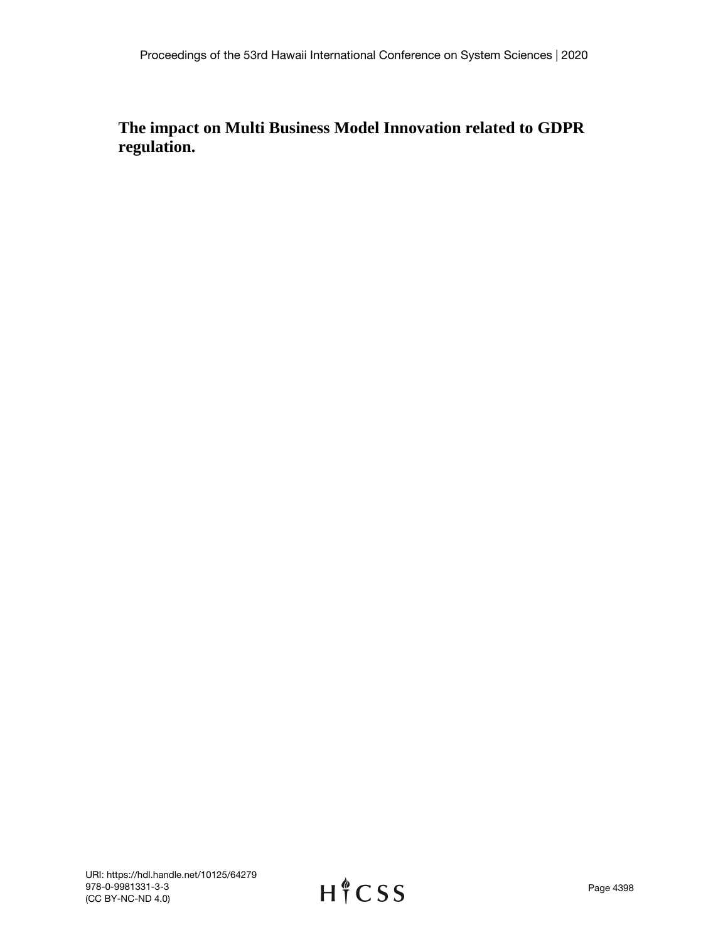# **The impact on Multi Business Model Innovation related to GDPR regulation.**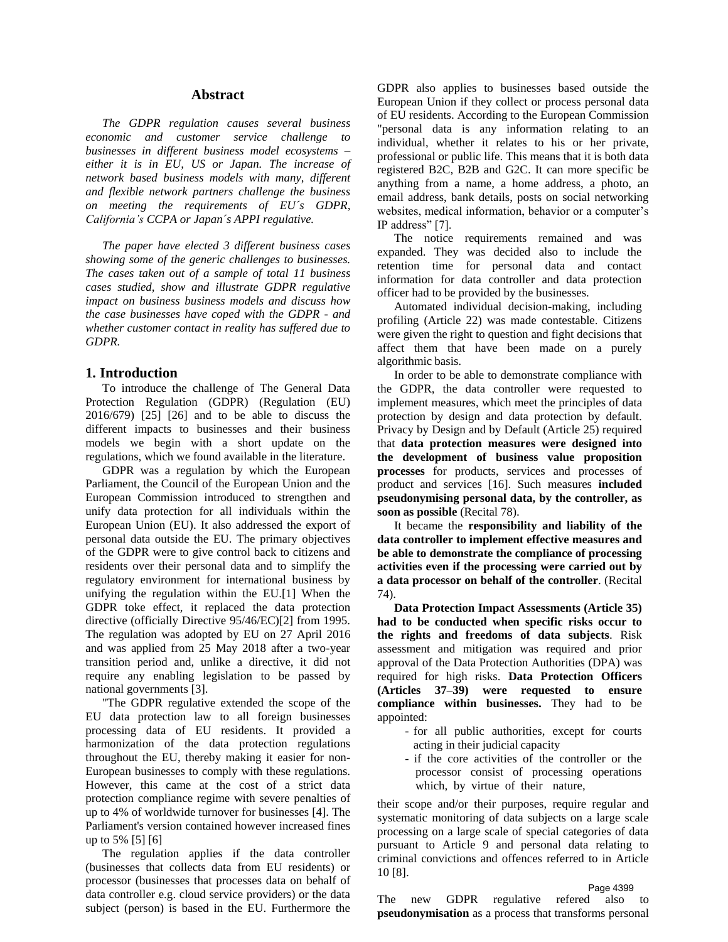#### **Abstract**

*The GDPR regulation causes several business economic and customer service challenge to businesses in different business model ecosystems – either it is in EU, US or Japan. The increase of network based business models with many, different and flexible network partners challenge the business on meeting the requirements of EU´s GDPR, California's CCPA or Japan´s APPI regulative.* 

*The paper have elected 3 different business cases showing some of the generic challenges to businesses. The cases taken out of a sample of total 11 business cases studied, show and illustrate GDPR regulative impact on business business models and discuss how the case businesses have coped with the GDPR - and whether customer contact in reality has suffered due to GDPR.*

#### **1. Introduction**

To introduce the challenge of The General Data Protection Regulation (GDPR) (Regulation (EU) 2016/679) [25] [26] and to be able to discuss the different impacts to businesses and their business models we begin with a short update on the regulations, which we found available in the literature.

GDPR was a regulation by which the European Parliament, the Council of the European Union and the European Commission introduced to strengthen and unify data protection for all individuals within the European Union (EU). It also addressed the export of personal data outside the EU. The primary objectives of the GDPR were to give control back to citizens and residents over their personal data and to simplify the regulatory environment for international business by unifying the regulation within the EU.[1] When the GDPR toke effect, it replaced the data protection directive (officially Directive 95/46/EC)[2] from 1995. The regulation was adopted by EU on 27 April 2016 and was applied from 25 May 2018 after a two-year transition period and, unlike a directive, it did not require any enabling legislation to be passed by national governments [3].

"The GDPR regulative extended the scope of the EU data protection law to all foreign businesses processing data of EU residents. It provided a harmonization of the data protection regulations throughout the EU, thereby making it easier for non-European businesses to comply with these regulations. However, this came at the cost of a strict data protection compliance regime with severe penalties of up to 4% of worldwide turnover for businesses [4]. The Parliament's version contained however increased fines up to 5% [5] [6]

The regulation applies if the data controller (businesses that collects data from EU residents) or processor (businesses that processes data on behalf of data controller e.g. cloud service providers) or the data subject (person) is based in the EU. Furthermore the

GDPR also applies to businesses based outside the European Union if they collect or process personal data of EU residents. According to the European Commission "personal data is any information relating to an individual, whether it relates to his or her private, professional or public life. This means that it is both data registered B2C, B2B and G2C. It can more specific be anything from a name, a home address, a photo, an email address, bank details, posts on social networking websites, medical information, behavior or a computer's IP address" [7].

The notice requirements remained and was expanded. They was decided also to include the retention time for personal data and contact information for data controller and data protection officer had to be provided by the businesses.

Automated individual decision-making, including profiling (Article 22) was made contestable. Citizens were given the right to question and fight decisions that affect them that have been made on a purely algorithmic basis.

In order to be able to demonstrate compliance with the GDPR, the data controller were requested to implement measures, which meet the principles of data protection by design and data protection by default. Privacy by Design and by Default (Article 25) required that **data protection measures were designed into the development of business value proposition processes** for products, services and processes of product and services [16]. Such measures **included pseudonymising personal data, by the controller, as soon as possible** (Recital 78).

It became the **responsibility and liability of the data controller to implement effective measures and be able to demonstrate the compliance of processing activities even if the processing were carried out by a data processor on behalf of the controller**. (Recital 74).

**Data Protection Impact Assessments (Article 35) had to be conducted when specific risks occur to the rights and freedoms of data subjects**. Risk assessment and mitigation was required and prior approval of the Data Protection Authorities (DPA) was required for high risks. **Data Protection Officers (Articles 37–39) were requested to ensure compliance within businesses.** They had to be appointed:

- for all public authorities, except for courts acting in their judicial capacity
- if the core activities of the controller or the processor consist of processing operations which, by virtue of their nature,

their scope and/or their purposes, require regular and systematic monitoring of data subjects on a large scale processing on a large scale of special categories of data pursuant to Article 9 and personal data relating to criminal convictions and offences referred to in Article 10 [8].

The new GDPR regulative refered also to **pseudonymisation** as a process that transforms personal Page 4399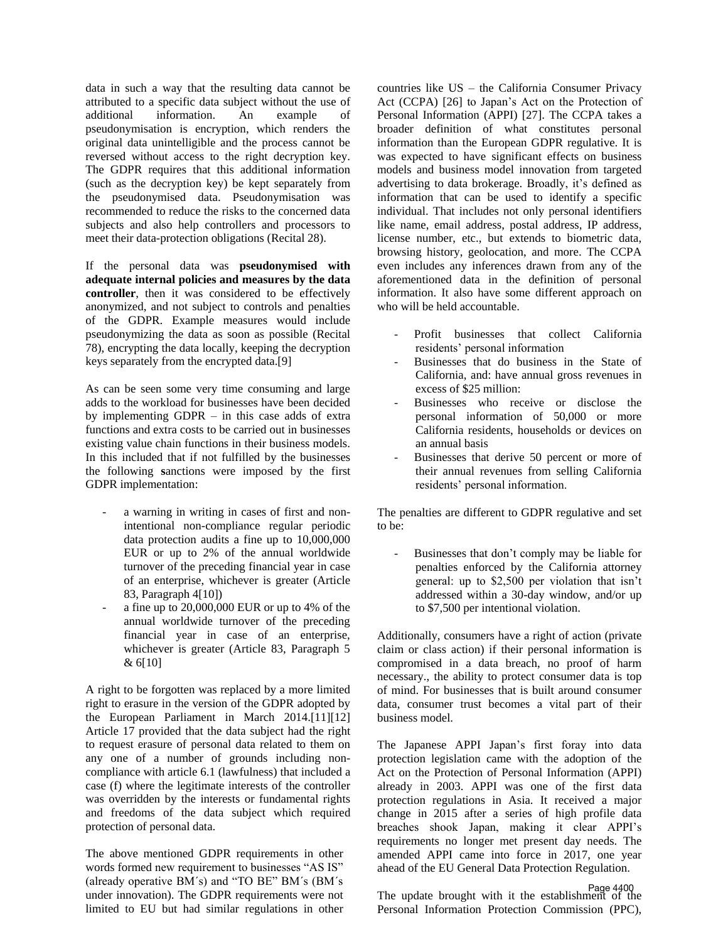data in such a way that the resulting data cannot be attributed to a specific data subject without the use of additional information. An example of pseudonymisation is encryption, which renders the original data unintelligible and the process cannot be reversed without access to the right decryption key. The GDPR requires that this additional information (such as the decryption key) be kept separately from the pseudonymised data. Pseudonymisation was recommended to reduce the risks to the concerned data subjects and also help controllers and processors to meet their data-protection obligations (Recital 28).

If the personal data was **pseudonymised with adequate internal policies and measures by the data controller**, then it was considered to be effectively anonymized, and not subject to controls and penalties of the GDPR. Example measures would include pseudonymizing the data as soon as possible (Recital 78), encrypting the data locally, keeping the decryption keys separately from the encrypted data.[9]

As can be seen some very time consuming and large adds to the workload for businesses have been decided by implementing GDPR – in this case adds of extra functions and extra costs to be carried out in businesses existing value chain functions in their business models. In this included that if not fulfilled by the businesses the following **s**anctions were imposed by the first GDPR implementation:

- a warning in writing in cases of first and nonintentional non-compliance regular periodic data protection audits a fine up to 10,000,000 EUR or up to 2% of the annual worldwide turnover of the preceding financial year in case of an enterprise, whichever is greater (Article 83, Paragraph 4[10])
- a fine up to 20,000,000 EUR or up to 4% of the annual worldwide turnover of the preceding financial year in case of an enterprise, whichever is greater (Article 83, Paragraph 5 & 6[10]

A right to be forgotten was replaced by a more limited right to erasure in the version of the GDPR adopted by the European Parliament in March 2014.[11][12] Article 17 provided that the data subject had the right to request erasure of personal data related to them on any one of a number of grounds including noncompliance with article 6.1 (lawfulness) that included a case (f) where the legitimate interests of the controller was overridden by the interests or fundamental rights and freedoms of the data subject which required protection of personal data.

The above mentioned GDPR requirements in other words formed new requirement to businesses "AS IS" (already operative BM´s) and "TO BE" BM´s (BM´s under innovation). The GDPR requirements were not limited to EU but had similar regulations in other countries like US – the California Consumer Privacy Act (CCPA) [26] to Japan's Act on the Protection of Personal Information (APPI) [27]. The CCPA takes a broader definition of what constitutes personal information than the European GDPR regulative. It is was expected to have significant effects on business models and business model innovation from targeted advertising to data brokerage. Broadly, it's defined as information that can be used to identify a specific individual. That includes not only personal identifiers like name, email address, postal address, IP address, license number, etc., but extends to biometric data, browsing history, geolocation, and more. The CCPA even includes any inferences drawn from any of the aforementioned data in the definition of personal information. It also have some different approach on who will be held accountable.

- Profit businesses that collect California residents' personal information
- Businesses that do business in the State of California, and: have annual gross revenues in excess of \$25 million:
- Businesses who receive or disclose the personal information of 50,000 or more California residents, households or devices on an annual basis
- Businesses that derive 50 percent or more of their annual revenues from selling California residents' personal information.

The penalties are different to GDPR regulative and set to be:

Businesses that don't comply may be liable for penalties enforced by the California attorney general: up to \$2,500 per violation that isn't addressed within a 30-day window, and/or up to \$7,500 per intentional violation.

Additionally, consumers have a right of action (private claim or class action) if their personal information is compromised in a data breach, no proof of harm necessary., the ability to protect consumer data is top of mind. For businesses that is built around consumer data, consumer trust becomes a vital part of their business model.

The Japanese APPI Japan's first foray into data protection legislation came with the adoption of the Act on the Protection of Personal Information (APPI) already in 2003. APPI was one of the first data protection regulations in Asia. It received a major change in 2015 after a series of high profile data breaches shook Japan, making it clear APPI's requirements no longer met present day needs. The amended APPI came into force in 2017, one year ahead of the EU General Data Protection Regulation.

Page 4400<br>The update brought with it the establishment of the Personal Information Protection Commission (PPC),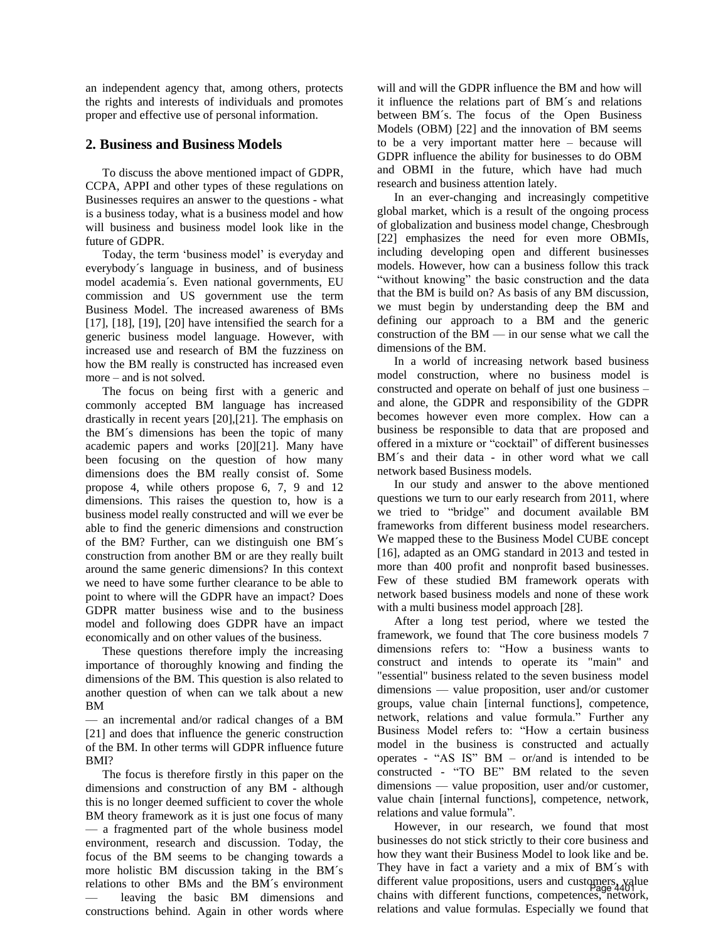an independent agency that, among others, protects the rights and interests of individuals and promotes proper and effective use of personal information.

### **2. Business and Business Models**

To discuss the above mentioned impact of GDPR, CCPA, APPI and other types of these regulations on Businesses requires an answer to the questions - what is a business today, what is a business model and how will business and business model look like in the future of GDPR.

Today, the term 'business model' is everyday and everybody´s language in business, and of business model academia´s. Even national governments, EU commission and US government use the term Business Model. The increased awareness of BMs [17], [18], [19], [20] have intensified the search for a generic business model language. However, with increased use and research of BM the fuzziness on how the BM really is constructed has increased even more – and is not solved.

The focus on being first with a generic and commonly accepted BM language has increased drastically in recent years [20],[21]. The emphasis on the BM´s dimensions has been the topic of many academic papers and works [20][21]. Many have been focusing on the question of how many dimensions does the BM really consist of. Some propose 4, while others propose 6, 7, 9 and 12 dimensions. This raises the question to, how is a business model really constructed and will we ever be able to find the generic dimensions and construction of the BM? Further, can we distinguish one BM´s construction from another BM or are they really built around the same generic dimensions? In this context we need to have some further clearance to be able to point to where will the GDPR have an impact? Does GDPR matter business wise and to the business model and following does GDPR have an impact economically and on other values of the business.

These questions therefore imply the increasing importance of thoroughly knowing and finding the dimensions of the BM. This question is also related to another question of when can we talk about a new BM

— an incremental and/or radical changes of a BM [21] and does that influence the generic construction of the BM. In other terms will GDPR influence future BMI?

The focus is therefore firstly in this paper on the dimensions and construction of any BM - although this is no longer deemed sufficient to cover the whole BM theory framework as it is just one focus of many — a fragmented part of the whole business model environment, research and discussion. Today, the focus of the BM seems to be changing towards a more holistic BM discussion taking in the BM´s relations to other BMs and the BM´s environment leaving the basic BM dimensions and constructions behind. Again in other words where

will and will the GDPR influence the BM and how will it influence the relations part of BM´s and relations between BM´s. The focus of the Open Business Models (OBM) [22] and the innovation of BM seems to be a very important matter here – because will GDPR influence the ability for businesses to do OBM and OBMI in the future, which have had much research and business attention lately.

In an ever-changing and increasingly competitive global market, which is a result of the ongoing process of globalization and business model change, Chesbrough [22] emphasizes the need for even more OBMIs, including developing open and different businesses models. However, how can a business follow this track "without knowing" the basic construction and the data that the BM is build on? As basis of any BM discussion, we must begin by understanding deep the BM and defining our approach to a BM and the generic construction of the BM — in our sense what we call the dimensions of the BM.

In a world of increasing network based business model construction, where no business model is constructed and operate on behalf of just one business – and alone, the GDPR and responsibility of the GDPR becomes however even more complex. How can a business be responsible to data that are proposed and offered in a mixture or "cocktail" of different businesses BM´s and their data - in other word what we call network based Business models.

In our study and answer to the above mentioned questions we turn to our early research from 2011, where we tried to "bridge" and document available BM frameworks from different business model researchers. We mapped these to the Business Model CUBE concept [16], adapted as an OMG standard in 2013 and tested in more than 400 profit and nonprofit based businesses. Few of these studied BM framework operats with network based business models and none of these work with a multi business model approach [28].

After a long test period, where we tested the framework, we found that The core business models 7 dimensions refers to: "How a business wants to construct and intends to operate its "main" and "essential" business related to the seven business model dimensions — value proposition, user and/or customer groups, value chain [internal functions], competence, network, relations and value formula." Further any Business Model refers to: "How a certain business model in the business is constructed and actually operates - "AS IS" BM – or/and is intended to be constructed - "TO BE" BM related to the seven dimensions — value proposition, user and/or customer, value chain [internal functions], competence, network, relations and value formula".

However, in our research, we found that most businesses do not stick strictly to their core business and how they want their Business Model to look like and be. They have in fact a variety and a mix of BM´s with different value propositions, users and customers, value chains with different functions, competences, network, relations and value formulas. Especially we found that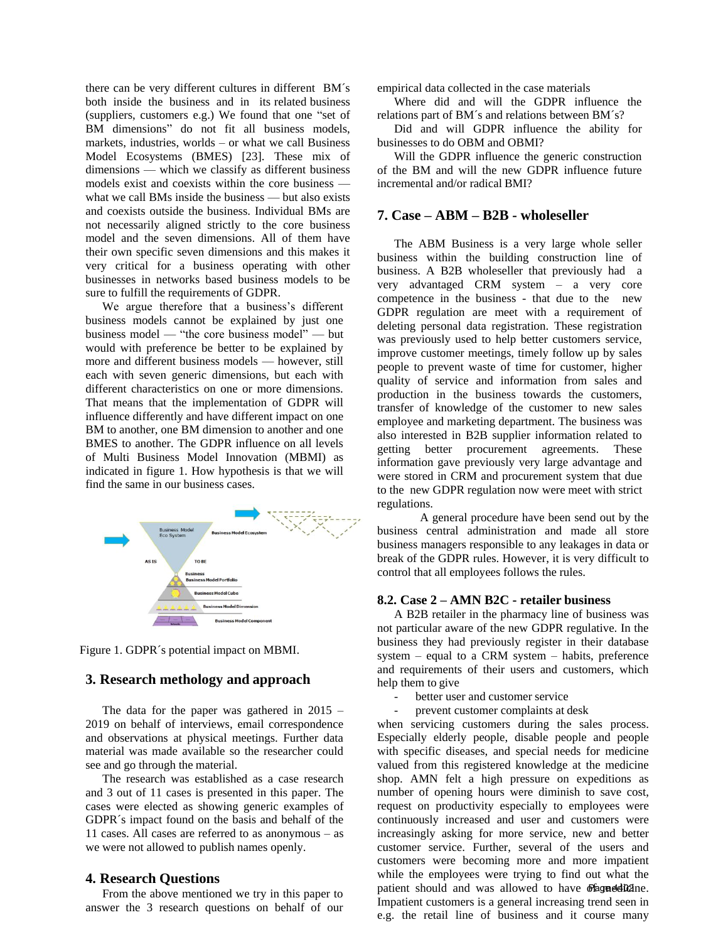there can be very different cultures in different BM´s both inside the business and in its related business (suppliers, customers e.g.) We found that one "set of BM dimensions" do not fit all business models, markets, industries, worlds – or what we call Business Model Ecosystems (BMES) [23]. These mix of dimensions — which we classify as different business models exist and coexists within the core business what we call BMs inside the business — but also exists and coexists outside the business. Individual BMs are not necessarily aligned strictly to the core business model and the seven dimensions. All of them have their own specific seven dimensions and this makes it very critical for a business operating with other businesses in networks based business models to be sure to fulfill the requirements of GDPR.

We argue therefore that a business's different business models cannot be explained by just one business model — "the core business model" — but would with preference be better to be explained by more and different business models — however, still each with seven generic dimensions, but each with different characteristics on one or more dimensions. That means that the implementation of GDPR will influence differently and have different impact on one BM to another, one BM dimension to another and one BMES to another. The GDPR influence on all levels of Multi Business Model Innovation (MBMI) as indicated in figure 1. How hypothesis is that we will find the same in our business cases.



Figure 1. GDPR´s potential impact on MBMI.

# **3. Research methology and approach**

The data for the paper was gathered in 2015 – 2019 on behalf of interviews, email correspondence and observations at physical meetings. Further data material was made available so the researcher could see and go through the material.

The research was established as a case research and 3 out of 11 cases is presented in this paper. The cases were elected as showing generic examples of GDPR´s impact found on the basis and behalf of the 11 cases. All cases are referred to as anonymous – as we were not allowed to publish names openly.

#### **4. Research Questions**

From the above mentioned we try in this paper to answer the 3 research questions on behalf of our empirical data collected in the case materials

Where did and will the GDPR influence the relations part of BM´s and relations between BM´s?

Did and will GDPR influence the ability for businesses to do OBM and OBMI?

Will the GDPR influence the generic construction of the BM and will the new GDPR influence future incremental and/or radical BMI?

# **7. Case – ABM – B2B - wholeseller**

The ABM Business is a very large whole seller business within the building construction line of business. A B2B wholeseller that previously had a very advantaged CRM system – a very core competence in the business - that due to the new GDPR regulation are meet with a requirement of deleting personal data registration. These registration was previously used to help better customers service, improve customer meetings, timely follow up by sales people to prevent waste of time for customer, higher quality of service and information from sales and production in the business towards the customers, transfer of knowledge of the customer to new sales employee and marketing department. The business was also interested in B2B supplier information related to getting better procurement agreements. These information gave previously very large advantage and were stored in CRM and procurement system that due to the new GDPR regulation now were meet with strict regulations.

A general procedure have been send out by the business central administration and made all store business managers responsible to any leakages in data or break of the GDPR rules. However, it is very difficult to control that all employees follows the rules.

#### **8.2. Case 2 – AMN B2C - retailer business**

A B2B retailer in the pharmacy line of business was not particular aware of the new GDPR regulative. In the business they had previously register in their database system – equal to a CRM system – habits, preference and requirements of their users and customers, which help them to give

- better user and customer service
- prevent customer complaints at desk

when servicing customers during the sales process. Especially elderly people, disable people and people with specific diseases, and special needs for medicine valued from this registered knowledge at the medicine shop. AMN felt a high pressure on expeditions as number of opening hours were diminish to save cost, request on productivity especially to employees were continuously increased and user and customers were increasingly asking for more service, new and better customer service. Further, several of the users and customers were becoming more and more impatient while the employees were trying to find out what the patient should and was allowed to have of ages 402 inc. Impatient customers is a general increasing trend seen in e.g. the retail line of business and it course many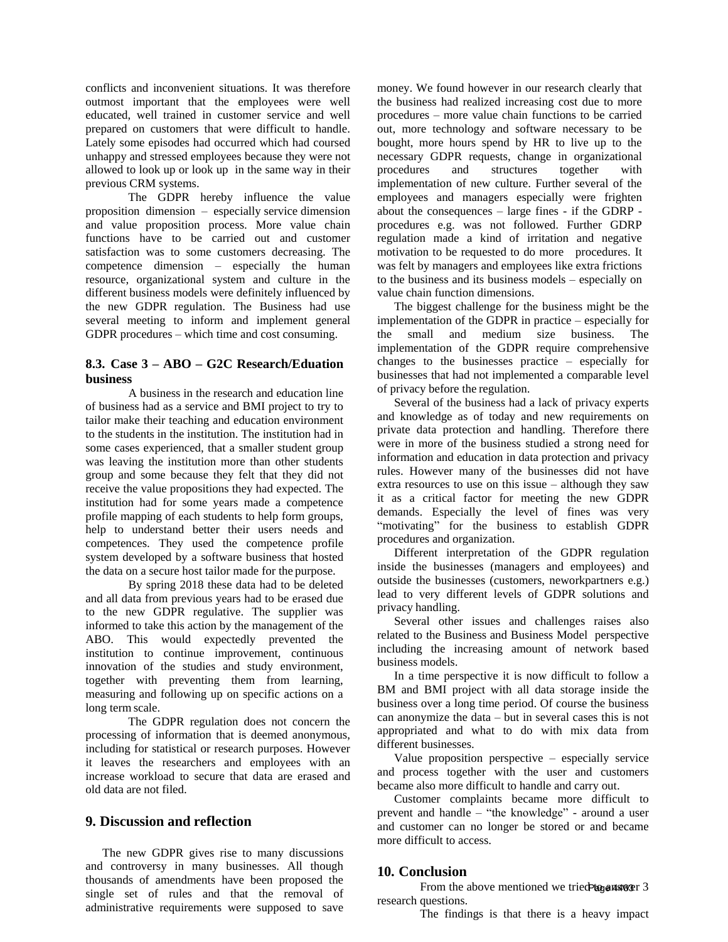conflicts and inconvenient situations. It was therefore outmost important that the employees were well educated, well trained in customer service and well prepared on customers that were difficult to handle. Lately some episodes had occurred which had coursed unhappy and stressed employees because they were not allowed to look up or look up in the same way in their previous CRM systems.

The GDPR hereby influence the value proposition dimension – especially service dimension and value proposition process. More value chain functions have to be carried out and customer satisfaction was to some customers decreasing. The competence dimension – especially the human resource, organizational system and culture in the different business models were definitely influenced by the new GDPR regulation. The Business had use several meeting to inform and implement general GDPR procedures – which time and cost consuming.

# **8.3. Case 3 – ABO – G2C Research/Eduation business**

A business in the research and education line of business had as a service and BMI project to try to tailor make their teaching and education environment to the students in the institution. The institution had in some cases experienced, that a smaller student group was leaving the institution more than other students group and some because they felt that they did not receive the value propositions they had expected. The institution had for some years made a competence profile mapping of each students to help form groups, help to understand better their users needs and competences. They used the competence profile system developed by a software business that hosted the data on a secure host tailor made for the purpose.

By spring 2018 these data had to be deleted and all data from previous years had to be erased due to the new GDPR regulative. The supplier was informed to take this action by the management of the ABO. This would expectedly prevented the institution to continue improvement, continuous innovation of the studies and study environment, together with preventing them from learning, measuring and following up on specific actions on a long term scale.

The GDPR regulation does not concern the processing of information that is deemed anonymous, including for statistical or research purposes. However it leaves the researchers and employees with an increase workload to secure that data are erased and old data are not filed.

## **9. Discussion and reflection**

The new GDPR gives rise to many discussions and controversy in many businesses. All though thousands of amendments have been proposed the single set of rules and that the removal of administrative requirements were supposed to save

money. We found however in our research clearly that the business had realized increasing cost due to more procedures – more value chain functions to be carried out, more technology and software necessary to be bought, more hours spend by HR to live up to the necessary GDPR requests, change in organizational procedures and structures together with implementation of new culture. Further several of the employees and managers especially were frighten about the consequences – large fines - if the GDRP procedures e.g. was not followed. Further GDRP regulation made a kind of irritation and negative motivation to be requested to do more procedures. It was felt by managers and employees like extra frictions to the business and its business models – especially on value chain function dimensions.

The biggest challenge for the business might be the implementation of the GDPR in practice – especially for the small and medium size business. The implementation of the GDPR require comprehensive changes to the businesses practice – especially for businesses that had not implemented a comparable level of privacy before the regulation.

Several of the business had a lack of privacy experts and knowledge as of today and new requirements on private data protection and handling. Therefore there were in more of the business studied a strong need for information and education in data protection and privacy rules. However many of the businesses did not have extra resources to use on this issue – although they saw it as a critical factor for meeting the new GDPR demands. Especially the level of fines was very "motivating" for the business to establish GDPR procedures and organization.

Different interpretation of the GDPR regulation inside the businesses (managers and employees) and outside the businesses (customers, neworkpartners e.g.) lead to very different levels of GDPR solutions and privacy handling.

Several other issues and challenges raises also related to the Business and Business Model perspective including the increasing amount of network based business models.

In a time perspective it is now difficult to follow a BM and BMI project with all data storage inside the business over a long time period. Of course the business can anonymize the data – but in several cases this is not appropriated and what to do with mix data from different businesses.

Value proposition perspective – especially service and process together with the user and customers became also more difficult to handle and carry out.

Customer complaints became more difficult to prevent and handle – "the knowledge" - around a user and customer can no longer be stored or and became more difficult to access.

# **10. Conclusion**

From the above mentioned we tried to answer 3 research questions.

The findings is that there is a heavy impact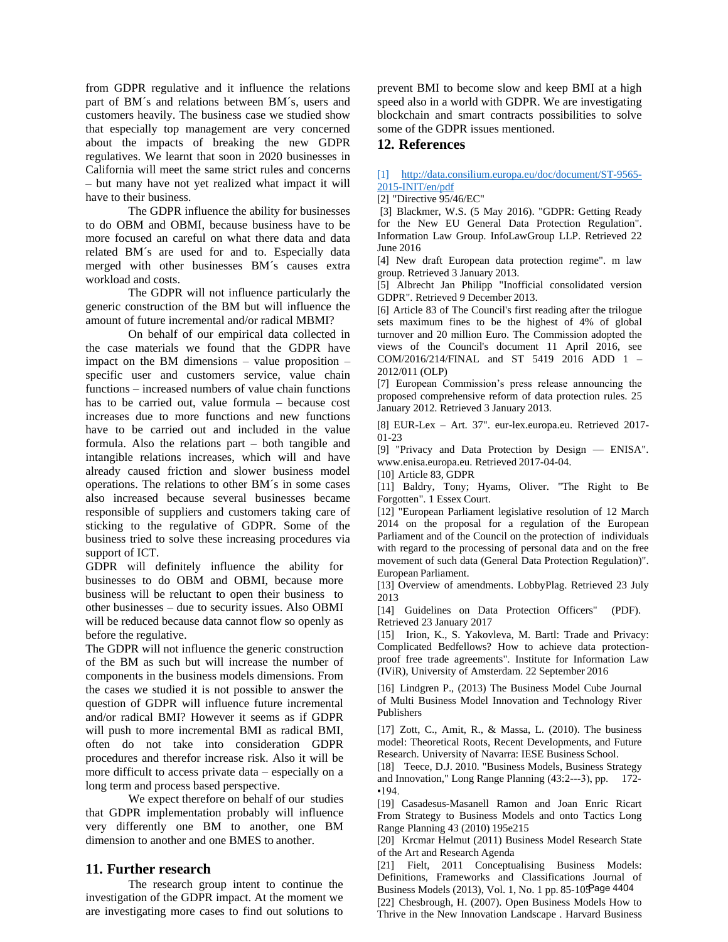from GDPR regulative and it influence the relations part of BM´s and relations between BM´s, users and customers heavily. The business case we studied show that especially top management are very concerned about the impacts of breaking the new GDPR regulatives. We learnt that soon in 2020 businesses in California will meet the same strict rules and concerns – but many have not yet realized what impact it will have to their business.

The GDPR influence the ability for businesses to do OBM and OBMI, because business have to be more focused an careful on what there data and data related BM´s are used for and to. Especially data merged with other businesses BM´s causes extra workload and costs.

The GDPR will not influence particularly the generic construction of the BM but will influence the amount of future incremental and/or radical MBMI?

On behalf of our empirical data collected in the case materials we found that the GDPR have impact on the BM dimensions – value proposition – specific user and customers service, value chain functions – increased numbers of value chain functions has to be carried out, value formula – because cost increases due to more functions and new functions have to be carried out and included in the value formula. Also the relations part – both tangible and intangible relations increases, which will and have already caused friction and slower business model operations. The relations to other BM´s in some cases also increased because several businesses became responsible of suppliers and customers taking care of sticking to the regulative of GDPR. Some of the business tried to solve these increasing procedures via support of ICT.

GDPR will definitely influence the ability for businesses to do OBM and OBMI, because more business will be reluctant to open their business to other businesses – due to security issues. Also OBMI will be reduced because data cannot flow so openly as before the regulative.

The GDPR will not influence the generic construction of the BM as such but will increase the number of components in the business models dimensions. From the cases we studied it is not possible to answer the question of GDPR will influence future incremental and/or radical BMI? However it seems as if GDPR will push to more incremental BMI as radical BMI, often do not take into consideration GDPR procedures and therefor increase risk. Also it will be more difficult to access private data – especially on a long term and process based perspective.

We expect therefore on behalf of our studies that GDPR implementation probably will influence very differently one BM to another, one BM dimension to another and one BMES to another.

## **11. Further research**

The research group intent to continue the investigation of the GDPR impact. At the moment we are investigating more cases to find out solutions to

prevent BMI to become slow and keep BMI at a high speed also in a world with GDPR. We are investigating blockchain and smart contracts possibilities to solve some of the GDPR issues mentioned.

# **12. References**

[1] [http://data.consilium.europa.eu/doc/document/ST-9565-](http://data.consilium.europa.eu/doc/document/ST-9565-2015-INIT/en/pdf) [2015-INIT/en/pdf](http://data.consilium.europa.eu/doc/document/ST-9565-2015-INIT/en/pdf)

[2] "Directive 95/46/EC"

[3] Blackmer, W.S. (5 May 2016). "GDPR: Getting Ready for the New EU General Data Protection Regulation". Information Law Group. InfoLawGroup LLP. Retrieved 22 June 2016

[4] New draft European data protection regime". m law group. Retrieved 3 January 2013.

[5] Albrecht Jan Philipp "Inofficial consolidated version GDPR". Retrieved 9 December 2013.

[6] Article 83 of The Council's first reading after the trilogue sets maximum fines to be the highest of 4% of global turnover and 20 million Euro. The Commission adopted the views of the Council's document 11 April 2016, see COM/2016/214/FINAL and ST 5419 2016 ADD 1 – 2012/011 (OLP)

[7] European Commission's press release announcing the proposed comprehensive reform of data protection rules. 25 January 2012. Retrieved 3 January 2013.

[8] EUR-Lex – Art. 37". eur-lex.europa.eu. Retrieved 2017- 01-23

[9] "Privacy and Data Protection by Design — ENISA". [www.enisa.europa.eu.](http://www.enisa.europa.eu/) Retrieved 2017-04-04.

[10] Article 83, GDPR

[11] Baldry, Tony; Hyams, Oliver. "The Right to Be Forgotten". 1 Essex Court.

[12] "European Parliament legislative resolution of 12 March 2014 on the proposal for a regulation of the European Parliament and of the Council on the protection of individuals with regard to the processing of personal data and on the free movement of such data (General Data Protection Regulation)". European Parliament.

[13] Overview of amendments. LobbyPlag. Retrieved 23 July 2013

[14] Guidelines on Data Protection Officers" (PDF). Retrieved 23 January 2017

[15] Irion, K., S. Yakovleva, M. Bartl: Trade and Privacy: Complicated Bedfellows? How to achieve data protectionproof free trade agreements". Institute for Information Law (IViR), University of Amsterdam. 22 September 2016

[16] Lindgren P., (2013) The Business Model Cube Journal of Multi Business Model Innovation and Technology River Publishers

[17] Zott, C., Amit, R., & Massa, L. (2010). The business model: Theoretical Roots, Recent Developments, and Future Research. University of Navarra: IESE Business School.

[18] Teece, D.J. 2010. "Business Models, Business Strategy and Innovation," Long Range Planning (43:2--‐3), pp. 172- •194.

[19] Casadesus-Masanell Ramon and Joan Enric Ricart From Strategy to Business Models and onto Tactics Long Range Planning 43 (2010) 195e215

[20] Krcmar Helmut (2011) Business Model Research State of the Art and Research Agenda

[21] Fielt, 2011 Conceptualising Business Models: Definitions, Frameworks and Classifications Journal of Business Models (2013), Vol. 1, No. 1 pp. 85-105 Page 4404

[22] Chesbrough, H. (2007). Open Business Models How to Thrive in the New Innovation Landscape . Harvard Business